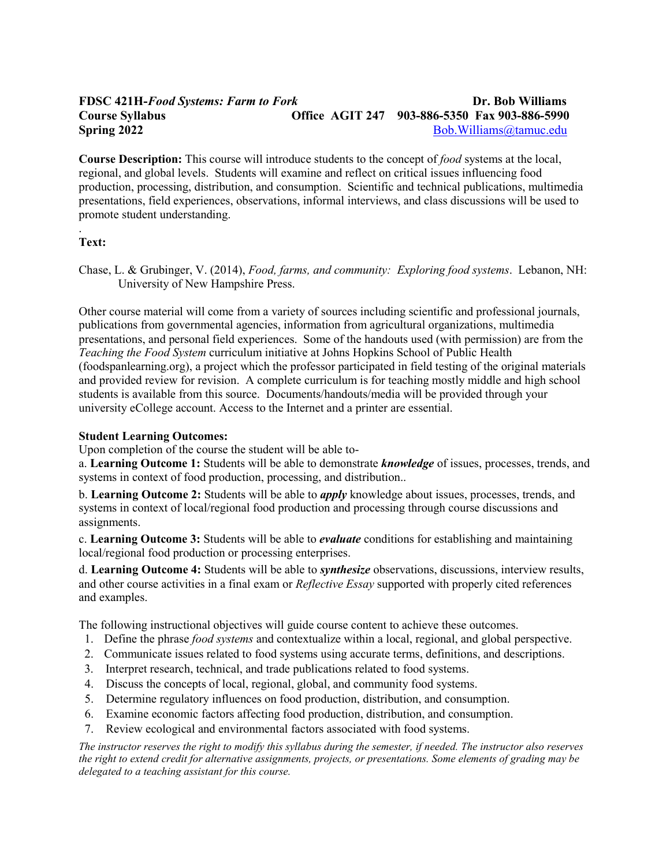# **FDSC 421H-***Food Systems: Farm to Fork* **Dr. Bob Williams Course Syllabus Office AGIT 247 903-886-5350 Fax 903-886-5990 Spring 2022** [Bob.Williams@tamuc.edu](mailto:Bob.Williams@tamuc.edu)

**Course Description:** This course will introduce students to the concept of *food* systems at the local, regional, and global levels. Students will examine and reflect on critical issues influencing food production, processing, distribution, and consumption. Scientific and technical publications, multimedia presentations, field experiences, observations, informal interviews, and class discussions will be used to promote student understanding.

#### . **Text:**

Chase, L. & Grubinger, V. (2014), *Food, farms, and community: Exploring food systems*. Lebanon, NH: University of New Hampshire Press.

Other course material will come from a variety of sources including scientific and professional journals, publications from governmental agencies, information from agricultural organizations, multimedia presentations, and personal field experiences. Some of the handouts used (with permission) are from the *Teaching the Food System* curriculum initiative at Johns Hopkins School of Public Health (foodspanlearning.org), a project which the professor participated in field testing of the original materials and provided review for revision. A complete curriculum is for teaching mostly middle and high school students is available from this source. Documents/handouts/media will be provided through your university eCollege account. Access to the Internet and a printer are essential.

## **Student Learning Outcomes:**

Upon completion of the course the student will be able to-

a. **Learning Outcome 1:** Students will be able to demonstrate *knowledge* of issues, processes, trends, and systems in context of food production, processing, and distribution..

b. **Learning Outcome 2:** Students will be able to *apply* knowledge about issues, processes, trends, and systems in context of local/regional food production and processing through course discussions and assignments.

c. **Learning Outcome 3:** Students will be able to *evaluate* conditions for establishing and maintaining local/regional food production or processing enterprises.

d. **Learning Outcome 4:** Students will be able to *synthesize* observations, discussions, interview results, and other course activities in a final exam or *Reflective Essay* supported with properly cited references and examples.

The following instructional objectives will guide course content to achieve these outcomes.

- 1. Define the phrase *food systems* and contextualize within a local, regional, and global perspective.
- 2. Communicate issues related to food systems using accurate terms, definitions, and descriptions.
- 3. Interpret research, technical, and trade publications related to food systems.
- 4. Discuss the concepts of local, regional, global, and community food systems.
- 5. Determine regulatory influences on food production, distribution, and consumption.
- 6. Examine economic factors affecting food production, distribution, and consumption.
- 7. Review ecological and environmental factors associated with food systems.

*The instructor reserves the right to modify this syllabus during the semester, if needed. The instructor also reserves the right to extend credit for alternative assignments, projects, or presentations. Some elements of grading may be delegated to a teaching assistant for this course.*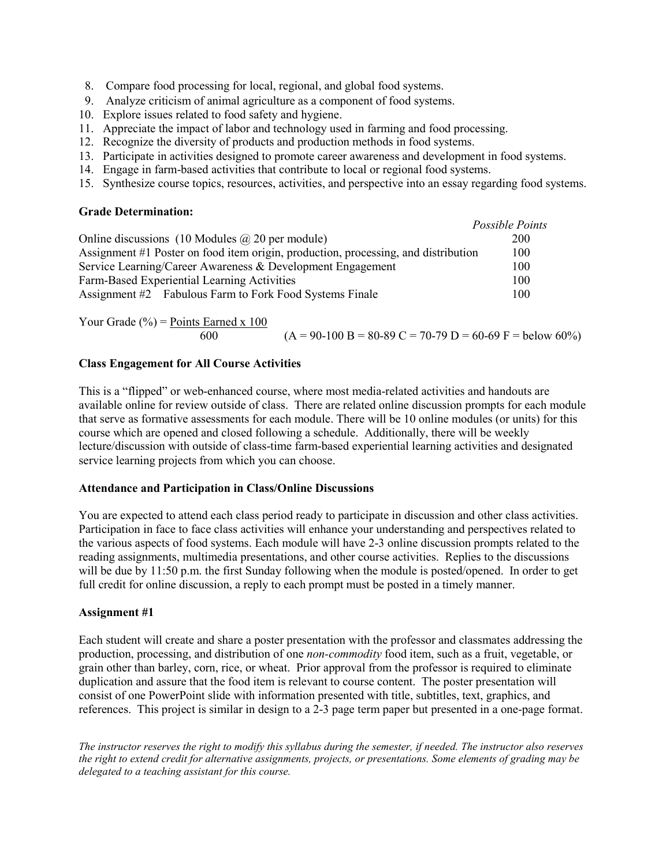- 8. Compare food processing for local, regional, and global food systems.
- 9. Analyze criticism of animal agriculture as a component of food systems.
- 10. Explore issues related to food safety and hygiene.
- 11. Appreciate the impact of labor and technology used in farming and food processing.
- 12. Recognize the diversity of products and production methods in food systems.
- 13. Participate in activities designed to promote career awareness and development in food systems.
- 14. Engage in farm-based activities that contribute to local or regional food systems.
- 15. Synthesize course topics, resources, activities, and perspective into an essay regarding food systems.

*Possible Points* 

#### **Grade Determination:**

|                                                                                    | Possible Points |
|------------------------------------------------------------------------------------|-----------------|
| Online discussions (10 Modules $\omega$ ) 20 per module)                           | 200             |
| Assignment #1 Poster on food item origin, production, processing, and distribution | 100             |
| Service Learning/Career Awareness & Development Engagement                         | 100             |
| Farm-Based Experiential Learning Activities                                        | 100             |
| Assignment #2 Fabulous Farm to Fork Food Systems Finale                            | 100             |

Your Grade (%) =  $\frac{Points}{k}$  Earned x 100 600  $(A = 90-100 B = 80-89 C = 70-79 D = 60-69 F =$  below 60%)

## **Class Engagement for All Course Activities**

This is a "flipped" or web-enhanced course, where most media-related activities and handouts are available online for review outside of class. There are related online discussion prompts for each module that serve as formative assessments for each module. There will be 10 online modules (or units) for this course which are opened and closed following a schedule. Additionally, there will be weekly lecture/discussion with outside of class-time farm-based experiential learning activities and designated service learning projects from which you can choose.

#### **Attendance and Participation in Class/Online Discussions**

You are expected to attend each class period ready to participate in discussion and other class activities. Participation in face to face class activities will enhance your understanding and perspectives related to the various aspects of food systems. Each module will have 2-3 online discussion prompts related to the reading assignments, multimedia presentations, and other course activities. Replies to the discussions will be due by 11:50 p.m. the first Sunday following when the module is posted/opened. In order to get full credit for online discussion, a reply to each prompt must be posted in a timely manner.

## **Assignment #1**

Each student will create and share a poster presentation with the professor and classmates addressing the production, processing, and distribution of one *non-commodity* food item, such as a fruit, vegetable, or grain other than barley, corn, rice, or wheat. Prior approval from the professor is required to eliminate duplication and assure that the food item is relevant to course content. The poster presentation will consist of one PowerPoint slide with information presented with title, subtitles, text, graphics, and references. This project is similar in design to a 2-3 page term paper but presented in a one-page format.

*The instructor reserves the right to modify this syllabus during the semester, if needed. The instructor also reserves the right to extend credit for alternative assignments, projects, or presentations. Some elements of grading may be delegated to a teaching assistant for this course.*